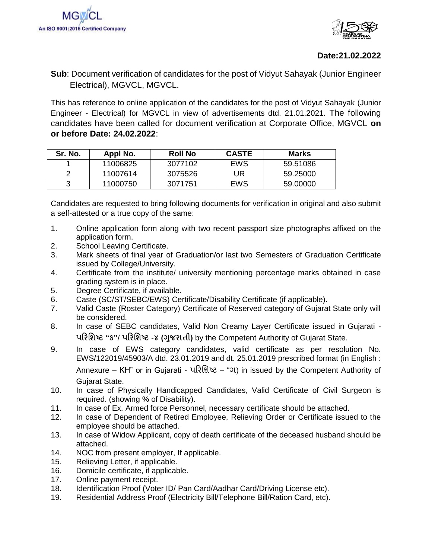

## **Date:21.02.2022**

**Sub**: Document verification of candidates for the post of Vidyut Sahayak (Junior Engineer Electrical), MGVCL, MGVCL.

This has reference to online application of the candidates for the post of Vidyut Sahayak (Junior Engineer - Electrical) for MGVCL in view of advertisements dtd. 21.01.2021. The following candidates have been called for document verification at Corporate Office, MGVCL **on or before Date: 24.02.2022**:

| Sr. No. | Appl No. | <b>Roll No</b> | <b>CASTE</b> | <b>Marks</b> |
|---------|----------|----------------|--------------|--------------|
|         | 11006825 | 3077102        | EWS          | 59.51086     |
|         | 11007614 | 3075526        | UR           | 59.25000     |
|         | 11000750 | 3071751        | EWS          | 59.00000     |

Candidates are requested to bring following documents for verification in original and also submit a self-attested or a true copy of the same:

- 1. Online application form along with two recent passport size photographs affixed on the application form.
- 2. School Leaving Certificate.
- 3. Mark sheets of final year of Graduation/or last two Semesters of Graduation Certificate issued by College/University.
- 4. Certificate from the institute/ university mentioning percentage marks obtained in case grading system is in place.
- 5. Degree Certificate, if available.
- 6. Caste (SC/ST/SEBC/EWS) Certificate/Disability Certificate (if applicable).
- 7. Valid Caste (Roster Category) Certificate of Reserved category of Gujarat State only will be considered.
- 8. In case of SEBC candidates, Valid Non Creamy Layer Certificate issued in Gujarati **પરિશિષ્ટ "ક"**/ **પરિશિષ્ટ** -**૪ (ગજુ િાતી)** by the Competent Authority of Gujarat State.
- 9. In case of EWS category candidates, valid certificate as per resolution No. EWS/122019/45903/A dtd. 23.01.2019 and dt. 25.01.2019 prescribed format (in English : Annexure – KH" or in Gujarati - પરિશિષ્ટ – "ગ) in issued by the Competent Authority of Gujarat State.
- 10. In case of Physically Handicapped Candidates, Valid Certificate of Civil Surgeon is required. (showing % of Disability).
- 11. In case of Ex. Armed force Personnel, necessary certificate should be attached.
- 12. In case of Dependent of Retired Employee, Relieving Order or Certificate issued to the employee should be attached.
- 13. In case of Widow Applicant, copy of death certificate of the deceased husband should be attached.
- 14. NOC from present employer, If applicable.
- 15. Relieving Letter, if applicable.
- 16. Domicile certificate, if applicable.
- 17. Online payment receipt.
- 18. Identification Proof (Voter ID/ Pan Card/Aadhar Card/Driving License etc).
- 19. Residential Address Proof (Electricity Bill/Telephone Bill/Ration Card, etc).